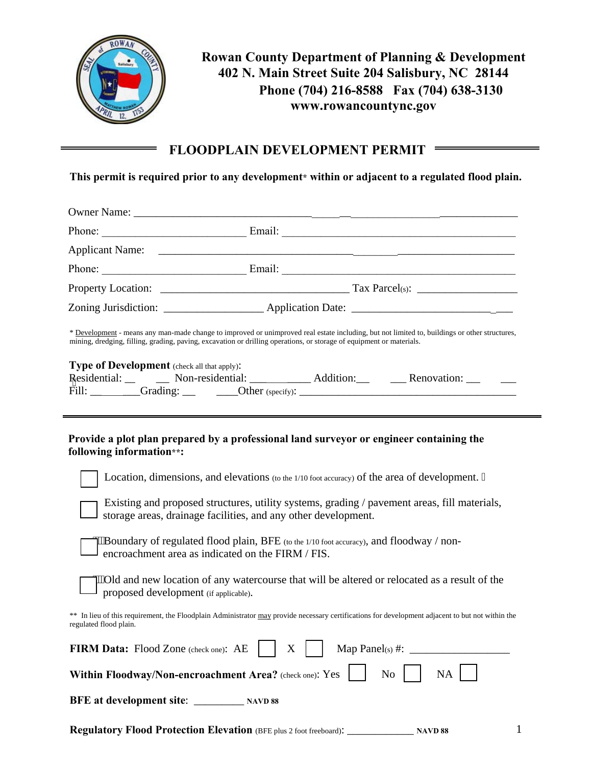

## **Rowan County Department of Planning & Development 402 N. Main Street Suite 204 Salisbury, NC 28144 Phone (704) 216-8588 Fax (704) 638-3130 www.rowancountync.gov**

## **FLOODPLAIN DEVELOPMENT PERMIT**

**This permit is required prior to any development\* within or adjacent to a regulated flood plain.** 

|                                                                                                                                                                                                                                                                                                                                                                                                                                                                                                                                                        | Zoning Jurisdiction: _________________________ Application Date: ___________________________________                                                                                                                                                                                      |
|--------------------------------------------------------------------------------------------------------------------------------------------------------------------------------------------------------------------------------------------------------------------------------------------------------------------------------------------------------------------------------------------------------------------------------------------------------------------------------------------------------------------------------------------------------|-------------------------------------------------------------------------------------------------------------------------------------------------------------------------------------------------------------------------------------------------------------------------------------------|
| * Development - means any man-made change to improved or unimproved real estate including, but not limited to, buildings or other structures,<br>mining, dredging, filling, grading, paving, excavation or drilling operations, or storage of equipment or materials.<br>Type of Development (check all that apply):<br>Fill: Grading: Grading: Dther (specify): Channel Communication of the Contract of the Contract of the Contract of the Contract of the Contract of the Contract of the Contract of the Contract of the Contract of the Contract |                                                                                                                                                                                                                                                                                           |
| following information**:                                                                                                                                                                                                                                                                                                                                                                                                                                                                                                                               | Provide a plot plan prepared by a professional land surveyor or engineer containing the<br>Location, dimensions, and elevations (to the 1/10 foot accuracy) of the area of development. "<br>Existing and proposed structures, utility systems, grading / pavement areas, fill materials, |
|                                                                                                                                                                                                                                                                                                                                                                                                                                                                                                                                                        | storage areas, drainage facilities, and any other development.<br>"Boundary of regulated flood plain, BFE (to the 1/10 foot accuracy), and floodway / non-<br>encroachment area as indicated on the FIRM / FIS.                                                                           |
| proposed development (if applicable).                                                                                                                                                                                                                                                                                                                                                                                                                                                                                                                  | "Old and new location of any watercourse that will be altered or relocated as a result of the                                                                                                                                                                                             |
| ** In lieu of this requirement, the Floodplain Administrator may provide necessary certifications for development adjacent to but not within the<br>regulated flood plain.                                                                                                                                                                                                                                                                                                                                                                             |                                                                                                                                                                                                                                                                                           |
| X<br>FIRM Data: Flood Zone (check one): AE                                                                                                                                                                                                                                                                                                                                                                                                                                                                                                             |                                                                                                                                                                                                                                                                                           |
| Within Floodway/Non-encroachment Area? (check one): Yes<br>NA<br>No                                                                                                                                                                                                                                                                                                                                                                                                                                                                                    |                                                                                                                                                                                                                                                                                           |
|                                                                                                                                                                                                                                                                                                                                                                                                                                                                                                                                                        |                                                                                                                                                                                                                                                                                           |
|                                                                                                                                                                                                                                                                                                                                                                                                                                                                                                                                                        |                                                                                                                                                                                                                                                                                           |

**Regulatory Flood Protection Elevation** (BFE plus 2 foot freeboard): \_\_\_\_\_\_\_\_\_\_\_\_ **NAVD 88** 

1